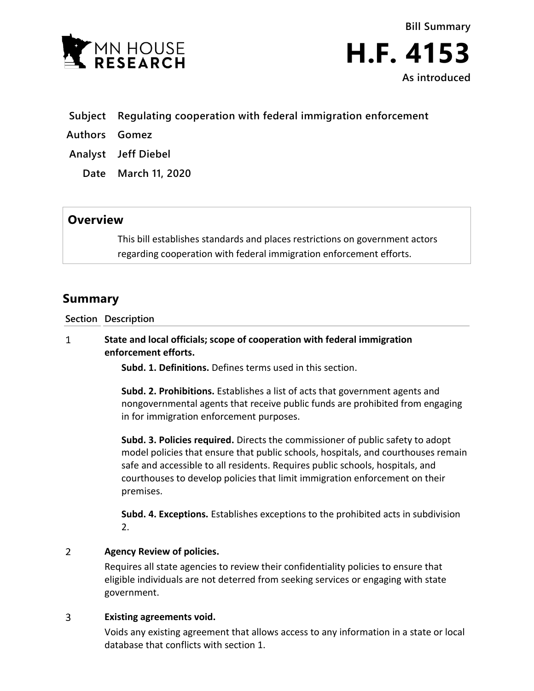

**Bill Summary H.F. 4153 As introduced**

- **Subject Regulating cooperation with federal immigration enforcement**
- **Authors Gomez**
- **Analyst Jeff Diebel**
	- **Date March 11, 2020**

## **Overview**

This bill establishes standards and places restrictions on government actors regarding cooperation with federal immigration enforcement efforts.

# **Summary**

**Section Description**

## $\mathbf{1}$ **State and local officials; scope of cooperation with federal immigration enforcement efforts.**

**Subd. 1. Definitions.** Defines terms used in this section.

**Subd. 2. Prohibitions.** Establishes a list of acts that government agents and nongovernmental agents that receive public funds are prohibited from engaging in for immigration enforcement purposes.

**Subd. 3. Policies required.** Directs the commissioner of public safety to adopt model policies that ensure that public schools, hospitals, and courthouses remain safe and accessible to all residents. Requires public schools, hospitals, and courthouses to develop policies that limit immigration enforcement on their premises.

**Subd. 4. Exceptions.** Establishes exceptions to the prohibited acts in subdivision 2.

### $\overline{2}$ **Agency Review of policies.**

Requires all state agencies to review their confidentiality policies to ensure that eligible individuals are not deterred from seeking services or engaging with state government.

#### $\overline{3}$ **Existing agreements void.**

Voids any existing agreement that allows access to any information in a state or local database that conflicts with section 1.